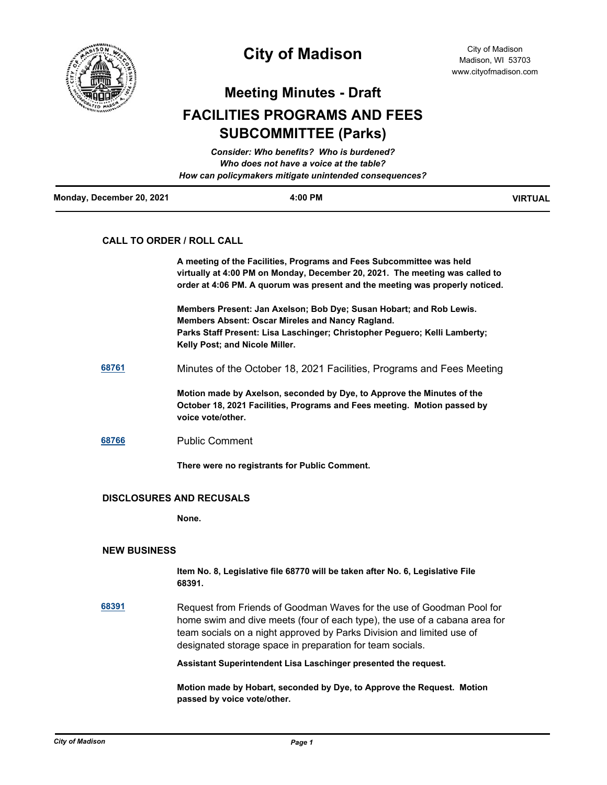

## **City of Madison**

City of Madison Madison, WI 53703 www.cityofmadison.com

**Meeting Minutes - Draft**

# **FACILITIES PROGRAMS AND FEES SUBCOMMITTEE (Parks)**

|                           | Consider: Who benefits? Who is burdened?               |                |
|---------------------------|--------------------------------------------------------|----------------|
|                           | Who does not have a voice at the table?                |                |
|                           | How can policymakers mitigate unintended consequences? |                |
| Monday, December 20, 2021 | $4:00$ PM                                              | <b>VIRTUAL</b> |

### **CALL TO ORDER / ROLL CALL**

**A meeting of the Facilities, Programs and Fees Subcommittee was held virtually at 4:00 PM on Monday, December 20, 2021. The meeting was called to order at 4:06 PM. A quorum was present and the meeting was properly noticed.**

**Members Present: Jan Axelson; Bob Dye; Susan Hobart; and Rob Lewis. Members Absent: Oscar Mireles and Nancy Ragland. Parks Staff Present: Lisa Laschinger; Christopher Peguero; Kelli Lamberty; Kelly Post; and Nicole Miller.**

**[68761](http://madison.legistar.com/gateway.aspx?m=l&id=/matter.aspx?key=80368)** Minutes of the October 18, 2021 Facilities, Programs and Fees Meeting

**Motion made by Axelson, seconded by Dye, to Approve the Minutes of the October 18, 2021 Facilities, Programs and Fees meeting. Motion passed by voice vote/other.**

#### **[68766](http://madison.legistar.com/gateway.aspx?m=l&id=/matter.aspx?key=80370)** Public Comment

**There were no registrants for Public Comment.**

#### **DISCLOSURES AND RECUSALS**

**None.**

#### **NEW BUSINESS**

**Item No. 8, Legislative file 68770 will be taken after No. 6, Legislative File 68391.**

**[68391](http://madison.legistar.com/gateway.aspx?m=l&id=/matter.aspx?key=80080)** Request from Friends of Goodman Waves for the use of Goodman Pool for home swim and dive meets (four of each type), the use of a cabana area for team socials on a night approved by Parks Division and limited use of designated storage space in preparation for team socials.

**Assistant Superintendent Lisa Laschinger presented the request.** 

**Motion made by Hobart, seconded by Dye, to Approve the Request. Motion passed by voice vote/other.**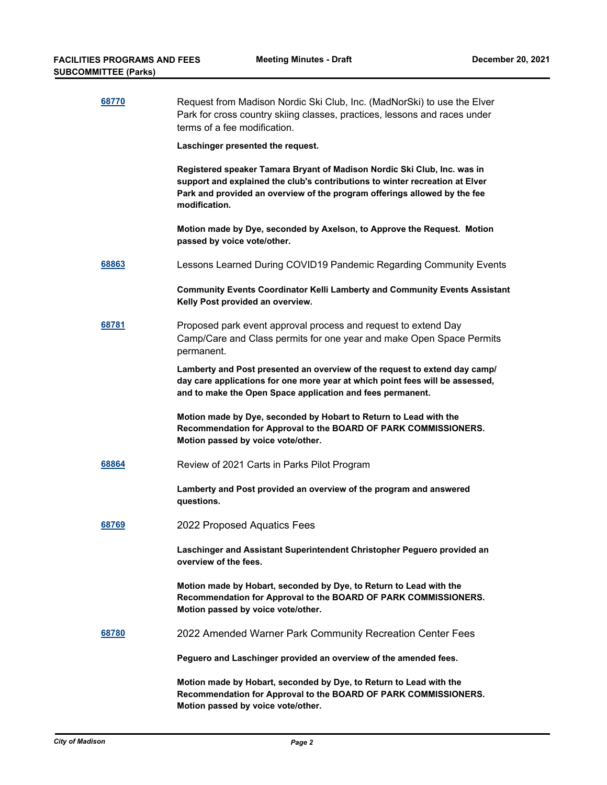| 68770 | Request from Madison Nordic Ski Club, Inc. (MadNorSki) to use the Elver<br>Park for cross country skiing classes, practices, lessons and races under<br>terms of a fee modification.                                                                   |
|-------|--------------------------------------------------------------------------------------------------------------------------------------------------------------------------------------------------------------------------------------------------------|
|       | Laschinger presented the request.                                                                                                                                                                                                                      |
|       | Registered speaker Tamara Bryant of Madison Nordic Ski Club, Inc. was in<br>support and explained the club's contributions to winter recreation at Elver<br>Park and provided an overview of the program offerings allowed by the fee<br>modification. |
|       | Motion made by Dye, seconded by Axelson, to Approve the Request. Motion<br>passed by voice vote/other.                                                                                                                                                 |
| 68863 | Lessons Learned During COVID19 Pandemic Regarding Community Events                                                                                                                                                                                     |
|       | <b>Community Events Coordinator Kelli Lamberty and Community Events Assistant</b><br>Kelly Post provided an overview.                                                                                                                                  |
| 68781 | Proposed park event approval process and request to extend Day<br>Camp/Care and Class permits for one year and make Open Space Permits<br>permanent.                                                                                                   |
|       | Lamberty and Post presented an overview of the request to extend day camp/<br>day care applications for one more year at which point fees will be assessed,<br>and to make the Open Space application and fees permanent.                              |
|       | Motion made by Dye, seconded by Hobart to Return to Lead with the<br>Recommendation for Approval to the BOARD OF PARK COMMISSIONERS.<br>Motion passed by voice vote/other.                                                                             |
| 68864 | Review of 2021 Carts in Parks Pilot Program                                                                                                                                                                                                            |
|       | Lamberty and Post provided an overview of the program and answered<br>questions.                                                                                                                                                                       |
| 68769 | 2022 Proposed Aquatics Fees                                                                                                                                                                                                                            |
|       | Laschinger and Assistant Superintendent Christopher Peguero provided an<br>overview of the fees.                                                                                                                                                       |
|       | Motion made by Hobart, seconded by Dye, to Return to Lead with the<br>Recommendation for Approval to the BOARD OF PARK COMMISSIONERS.<br>Motion passed by voice vote/other.                                                                            |
| 68780 | 2022 Amended Warner Park Community Recreation Center Fees                                                                                                                                                                                              |
|       | Peguero and Laschinger provided an overview of the amended fees.                                                                                                                                                                                       |
|       | Motion made by Hobart, seconded by Dye, to Return to Lead with the<br>Recommendation for Approval to the BOARD OF PARK COMMISSIONERS.<br>Motion passed by voice vote/other.                                                                            |